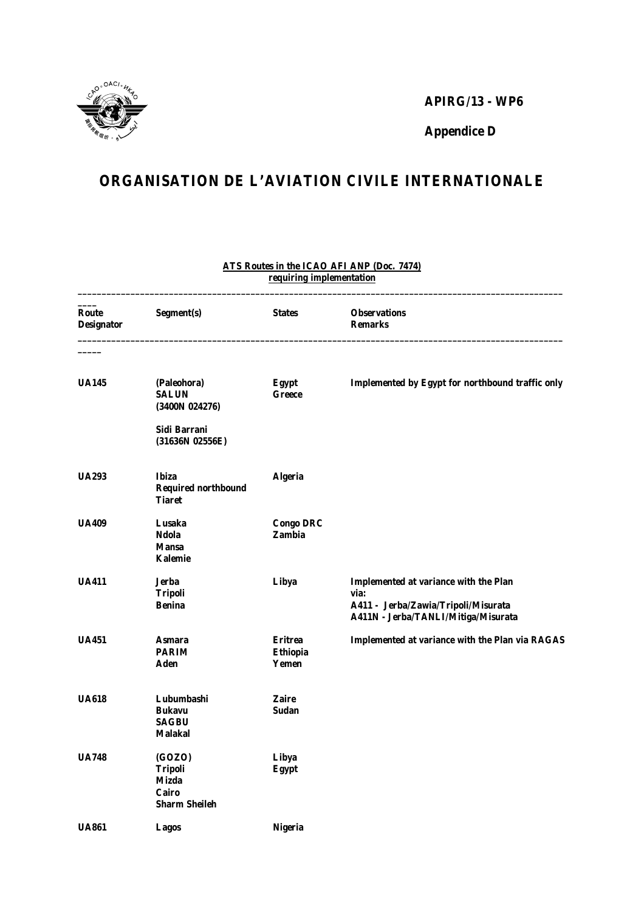

## **APIRG/13 - WP6**

**Appendice D**

## **ORGANISATION DE L'AVIATION CIVILE INTERNATIONALE**

| Route<br><b>Designator</b> | Segment(s)                                                         | <b>States</b>                       | <b>Observations</b><br><b>Remarks</b>                                                                                              |
|----------------------------|--------------------------------------------------------------------|-------------------------------------|------------------------------------------------------------------------------------------------------------------------------------|
| <b>UA145</b>               | (Paleohora)<br><b>SALUN</b><br>(3400N 024276)                      | <b>Egypt</b><br><b>Greece</b>       | Implemented by Egypt for northbound traffic only                                                                                   |
|                            | Sidi Barrani<br>(31636N 02556E)                                    |                                     |                                                                                                                                    |
| <b>UA293</b>               | <b>Ibiza</b><br><b>Required northbound</b><br><b>Tiaret</b>        | <b>Algeria</b>                      |                                                                                                                                    |
| <b>UA409</b>               | Lusaka<br>Ndola<br><b>Mansa</b><br>Kalemie                         | <b>Congo DRC</b><br>Zambia          |                                                                                                                                    |
| <b>UA411</b>               | <b>Jerba</b><br><b>Tripoli</b><br><b>Benina</b>                    | Libya                               | <b>Implemented at variance with the Plan</b><br>via:<br>A411 - Jerba/Zawia/Tripoli/Misurata<br>A411N - Jerba/TANLI/Mitiga/Misurata |
| <b>UA451</b>               | Asmara<br><b>PARIM</b><br>Aden                                     | <b>Eritrea</b><br>Ethiopia<br>Yemen | Implemented at variance with the Plan via RAGAS                                                                                    |
| <b>UA618</b>               | Lubumbashi<br><b>Bukavu</b><br><b>SAGBU</b><br><b>Malakal</b>      | <b>Zaire</b><br>Sudan               |                                                                                                                                    |
| <b>UA748</b>               | (GOZO)<br><b>Tripoli</b><br>Mizda<br>Cairo<br><b>Sharm Sheileh</b> | Libya<br><b>Egypt</b>               |                                                                                                                                    |
| <b>UA861</b>               | Lagos                                                              | <b>Nigeria</b>                      |                                                                                                                                    |

## **ATS Routes in the ICAO AFI ANP (Doc. 7474) requiring implementation \_\_\_\_\_\_\_\_\_\_\_\_\_\_\_\_\_\_\_\_\_\_\_\_\_\_\_\_\_\_\_\_\_\_\_\_\_\_\_\_\_\_\_\_\_\_\_\_\_\_\_\_\_\_\_\_\_\_\_\_\_\_\_\_\_\_\_\_\_\_\_\_\_\_\_\_\_\_\_\_\_\_\_\_\_\_\_\_\_\_\_\_\_\_\_\_\_\_\_\_\_**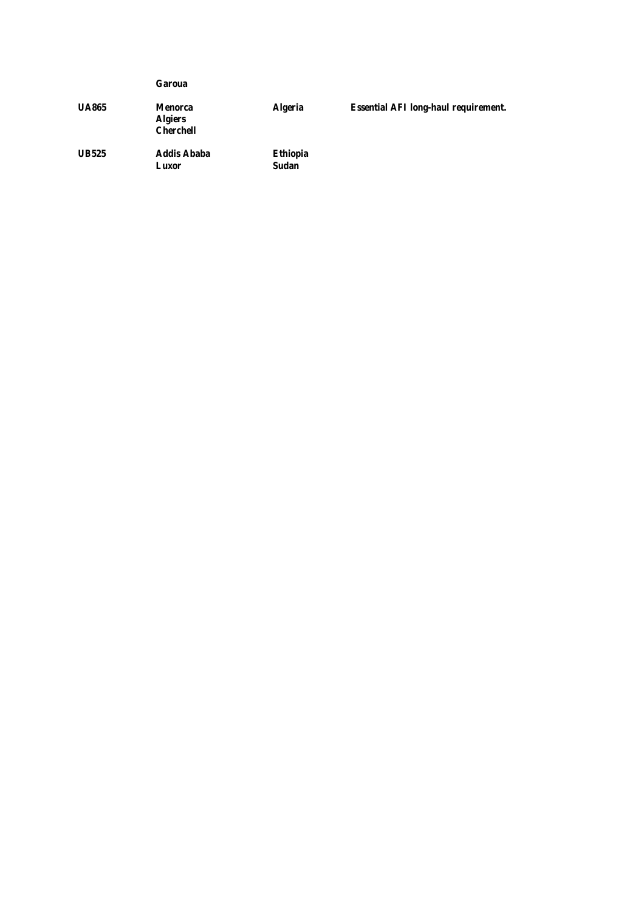|              | Garoua                                        |                                 |                                             |
|--------------|-----------------------------------------------|---------------------------------|---------------------------------------------|
| <b>UA865</b> | Menorca<br><b>Algiers</b><br><b>Cherchell</b> | <b>Algeria</b>                  | <b>Essential AFI long-haul requirement.</b> |
| <b>UB525</b> | <b>Addis Ababa</b><br>Luxor                   | <b>Ethiopia</b><br><b>Sudan</b> |                                             |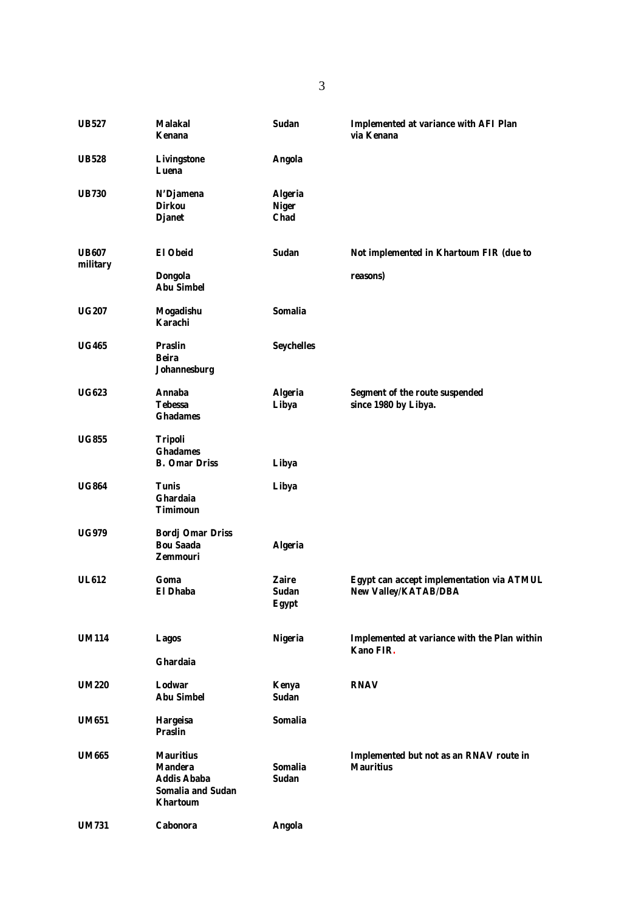| <b>UB527</b>             | <b>Malakal</b><br>Kenana                                                                                | Sudan                                         | <b>Implemented at variance with AFI Plan</b><br>via Kenana               |
|--------------------------|---------------------------------------------------------------------------------------------------------|-----------------------------------------------|--------------------------------------------------------------------------|
| <b>UB528</b>             | Livingstone<br>Luena                                                                                    | <b>Angola</b>                                 |                                                                          |
| <b>UB730</b>             | N'Djamena<br><b>Dirkou</b><br><b>Djanet</b>                                                             | <b>Algeria</b><br><b>Niger</b><br><b>Chad</b> |                                                                          |
| <b>UB607</b><br>military | <b>El Obeid</b><br><b>Dongola</b><br><b>Abu Simbel</b>                                                  | Sudan                                         | Not implemented in Khartoum FIR (due to<br>reasons)                      |
| <b>UG207</b>             | Mogadishu<br>Karachi                                                                                    | Somalia                                       |                                                                          |
| <b>UG465</b>             | <b>Praslin</b><br>Beira<br>Johannesburg                                                                 | <b>Seychelles</b>                             |                                                                          |
| <b>UG623</b>             | Annaba<br><b>Tebessa</b><br><b>Ghadames</b>                                                             | <b>Algeria</b><br>Libya                       | Segment of the route suspended<br>since 1980 by Libya.                   |
| <b>UG855</b>             | Tripoli<br><b>Ghadames</b><br><b>B.</b> Omar Driss                                                      | Libya                                         |                                                                          |
| <b>UG864</b>             | <b>Tunis</b><br><b>Ghardaia</b><br>Timimoun                                                             | Libya                                         |                                                                          |
| <b>UG979</b>             | <b>Bordj Omar Driss</b><br><b>Bou Saada</b><br><b>Zemmouri</b>                                          | <b>Algeria</b>                                |                                                                          |
| <b>UL612</b>             | Goma<br>El Dhaba                                                                                        | <b>Zaire</b><br>Sudan<br>Egypt                | Egypt can accept implementation via ATMUL<br><b>New Valley/KATAB/DBA</b> |
| <b>UM114</b>             | <b>Lagos</b><br>Ghardaia                                                                                | <b>Nigeria</b>                                | Implemented at variance with the Plan within<br>Kano FIR.                |
| <b>UM220</b>             | Lodwar<br><b>Abu Simbel</b>                                                                             | Kenya<br><b>Sudan</b>                         | <b>RNAV</b>                                                              |
| <b>UM651</b>             | <b>Hargeisa</b><br><b>Praslin</b>                                                                       | Somalia                                       |                                                                          |
| <b>UM665</b>             | <b>Mauritius</b><br><b>Mandera</b><br><b>Addis Ababa</b><br><b>Somalia and Sudan</b><br><b>Khartoum</b> | Somalia<br><b>Sudan</b>                       | Implemented but not as an RNAV route in<br><b>Mauritius</b>              |
| <b>UM731</b>             | Cabonora                                                                                                | <b>Angola</b>                                 |                                                                          |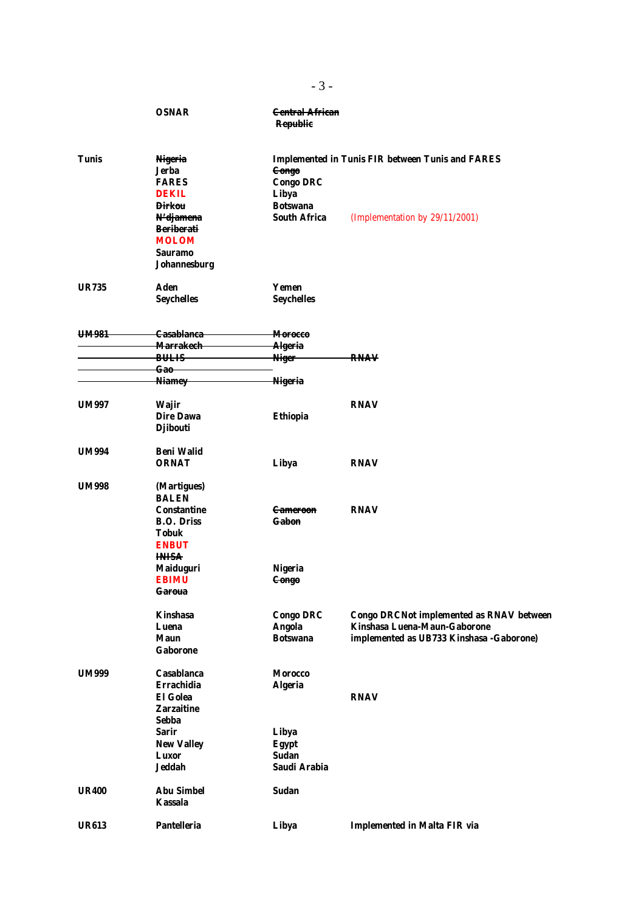|              | <b>OSNAR</b>                   | <b>Central African</b><br><b>Republic</b>               |                                                 |  |
|--------------|--------------------------------|---------------------------------------------------------|-------------------------------------------------|--|
| <b>Tunis</b> | <b>Nigeria</b><br>Jerba        | <b>Implemented in Tunis FIR between Tunis and FARES</b> |                                                 |  |
|              | <b>FARES</b>                   | <b>Congo</b>                                            |                                                 |  |
|              |                                | <b>Congo DRC</b>                                        |                                                 |  |
|              | <b>DEKIL</b><br><b>Dirkou</b>  | Libya<br><b>Botswana</b>                                |                                                 |  |
|              |                                |                                                         |                                                 |  |
|              | N'djamena<br><b>Beriberati</b> | <b>South Africa</b>                                     | (Implementation by 29/11/2001)                  |  |
|              |                                |                                                         |                                                 |  |
|              | <b>MOLOM</b><br>Sauramo        |                                                         |                                                 |  |
|              | Johannesburg                   |                                                         |                                                 |  |
|              |                                |                                                         |                                                 |  |
| <b>UR735</b> | <b>Aden</b>                    | Yemen                                                   |                                                 |  |
|              | <b>Seychelles</b>              | <b>Seychelles</b>                                       |                                                 |  |
| UM981        | <b>Casablanca</b>              | <del>Morocco</del>                                      |                                                 |  |
|              | <del>Marrakech</del>           | Algeria                                                 |                                                 |  |
|              | <b>BULIS</b>                   | <b>Niger</b>                                            | <del>RNAV</del>                                 |  |
|              | <del>Gao</del>                 |                                                         |                                                 |  |
|              | <b>Niamey</b>                  | <b>Nigeria</b>                                          |                                                 |  |
| <b>UM997</b> | <b>Wajir</b>                   |                                                         | <b>RNAV</b>                                     |  |
|              | <b>Dire Dawa</b>               | Ethiopia                                                |                                                 |  |
|              | <b>Djibouti</b>                |                                                         |                                                 |  |
| <b>UM994</b> | <b>Beni Walid</b>              |                                                         |                                                 |  |
|              | <b>ORNAT</b>                   | Libya                                                   | <b>RNAV</b>                                     |  |
|              |                                |                                                         |                                                 |  |
| <b>UM998</b> | (Martigues)<br><b>BALEN</b>    |                                                         |                                                 |  |
|              | Constantine                    | <del>Cameroon</del>                                     | <b>RNAV</b>                                     |  |
|              | <b>B.O. Driss</b>              | Gabon                                                   |                                                 |  |
|              | Tobuk                          |                                                         |                                                 |  |
|              | <b>ENBUT</b>                   |                                                         |                                                 |  |
|              | <b>INISA</b>                   |                                                         |                                                 |  |
|              | <b>Maiduguri</b>               | <b>Nigeria</b>                                          |                                                 |  |
|              | <b>EBIMU</b>                   | <del>Congo</del>                                        |                                                 |  |
|              | Garoua                         |                                                         |                                                 |  |
|              | <b>Kinshasa</b>                | <b>Congo DRC</b>                                        | <b>Congo DRCNot implemented as RNAV between</b> |  |
|              | Luena                          | <b>Angola</b>                                           | Kinshasa Luena-Maun-Gaborone                    |  |
|              | <b>Maun</b>                    | <b>Botswana</b>                                         | implemented as UB733 Kinshasa - Gaborone)       |  |
|              | <b>Gaborone</b>                |                                                         |                                                 |  |
| <b>UM999</b> | Casablanca                     | <b>Morocco</b>                                          |                                                 |  |
|              | Errachidia                     | <b>Algeria</b>                                          |                                                 |  |
|              | <b>El Golea</b>                |                                                         | <b>RNAV</b>                                     |  |
|              | <b>Zarzaitine</b>              |                                                         |                                                 |  |
|              | Sebba                          |                                                         |                                                 |  |
|              | <b>Sarir</b>                   | Libya                                                   |                                                 |  |
|              | <b>New Valley</b>              | <b>Egypt</b>                                            |                                                 |  |
|              | Luxor                          | Sudan                                                   |                                                 |  |
|              | Jeddah                         | Saudi Arabia                                            |                                                 |  |
| <b>UR400</b> | <b>Abu Simbel</b>              | Sudan                                                   |                                                 |  |
|              | <b>Kassala</b>                 |                                                         |                                                 |  |
| <b>UR613</b> | <b>Pantelleria</b>             | Libya                                                   | <b>Implemented in Malta FIR via</b>             |  |
|              |                                |                                                         |                                                 |  |

- 3 -